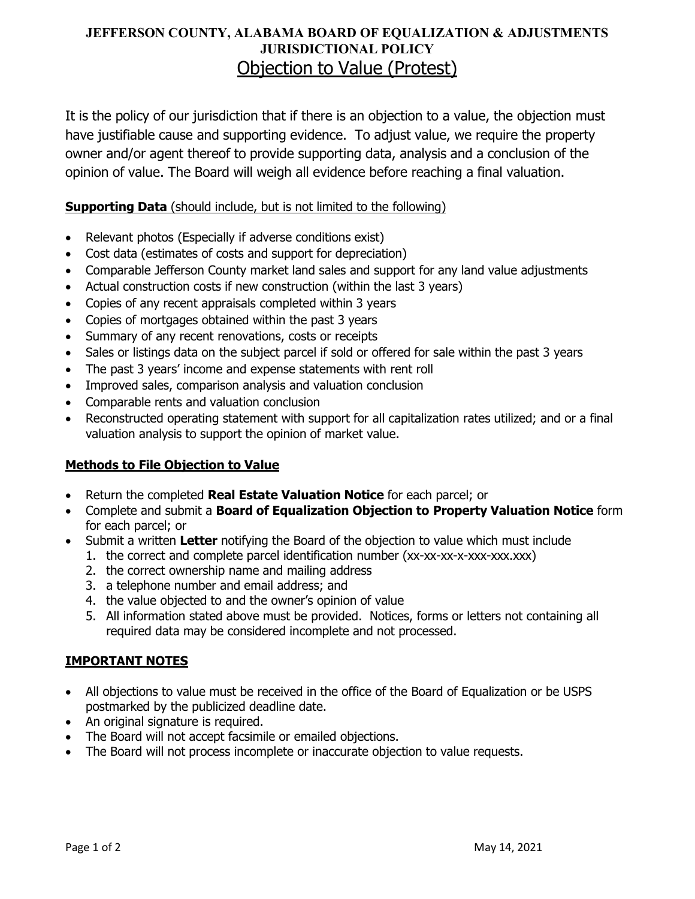# **JEFFERSON COUNTY, ALABAMA BOARD OF EQUALIZATION & ADJUSTMENTS JURISDICTIONAL POLICY** Objection to Value (Protest)

It is the policy of our jurisdiction that if there is an objection to a value, the objection must have justifiable cause and supporting evidence. To adjust value, we require the property owner and/or agent thereof to provide supporting data, analysis and a conclusion of the opinion of value. The Board will weigh all evidence before reaching a final valuation.

## **Supporting Data** (should include, but is not limited to the following)

- Relevant photos (Especially if adverse conditions exist)
- Cost data (estimates of costs and support for depreciation)
- Comparable Jefferson County market land sales and support for any land value adjustments
- Actual construction costs if new construction (within the last 3 years)
- Copies of any recent appraisals completed within 3 years
- Copies of mortgages obtained within the past 3 years
- Summary of any recent renovations, costs or receipts
- Sales or listings data on the subject parcel if sold or offered for sale within the past 3 years
- The past 3 years' income and expense statements with rent roll
- Improved sales, comparison analysis and valuation conclusion
- Comparable rents and valuation conclusion
- Reconstructed operating statement with support for all capitalization rates utilized; and or a final valuation analysis to support the opinion of market value.

#### **Methods to File Objection to Value**

- Return the completed **Real Estate Valuation Notice** for each parcel; or
- Complete and submit a **Board of Equalization Objection to Property Valuation Notice** form for each parcel; or
- Submit a written **Letter** notifying the Board of the objection to value which must include
	- 1. the correct and complete parcel identification number (xx-xx-xx-xxx-xxx.xxx)
	- 2. the correct ownership name and mailing address
	- 3. a telephone number and email address; and
	- 4. the value objected to and the owner's opinion of value
	- 5. All information stated above must be provided. Notices, forms or letters not containing all required data may be considered incomplete and not processed.

## **IMPORTANT NOTES**

- All objections to value must be received in the office of the Board of Equalization or be USPS postmarked by the publicized deadline date.
- An original signature is required.
- The Board will not accept facsimile or emailed objections.
- The Board will not process incomplete or inaccurate objection to value requests.